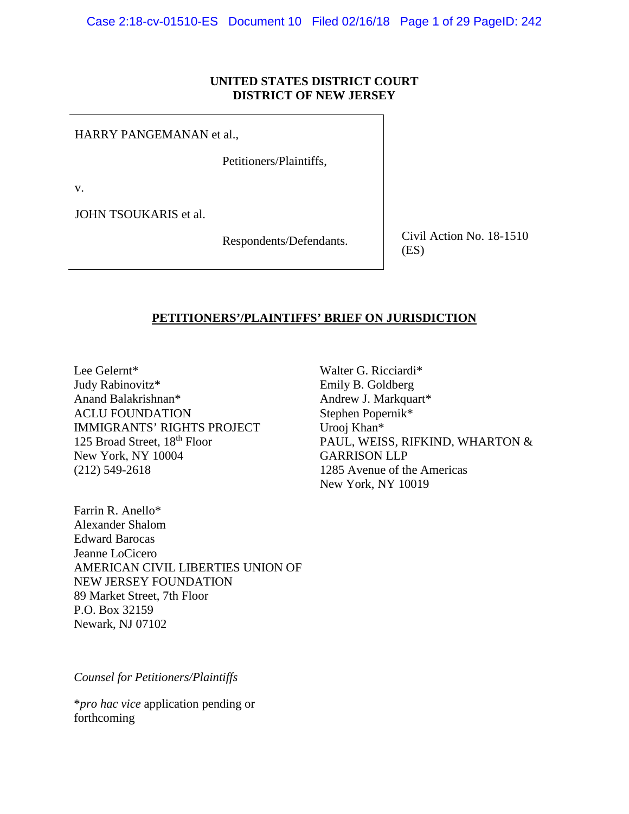# **UNITED STATES DISTRICT COURT DISTRICT OF NEW JERSEY**

HARRY PANGEMANAN et al.,

Petitioners/Plaintiffs,

v.

JOHN TSOUKARIS et al.

Respondents/Defendants. Civil Action No. 18-1510 (ES)

# **PETITIONERS'/PLAINTIFFS' BRIEF ON JURISDICTION**

Lee Gelernt\* Judy Rabinovitz\* Anand Balakrishnan\* ACLU FOUNDATION IMMIGRANTS' RIGHTS PROJECT 125 Broad Street, 18<sup>th</sup> Floor New York, NY 10004 (212) 549-2618

Farrin R. Anello\* Alexander Shalom Edward Barocas Jeanne LoCicero AMERICAN CIVIL LIBERTIES UNION OF NEW JERSEY FOUNDATION 89 Market Street, 7th Floor P.O. Box 32159 Newark, NJ 07102

*Counsel for Petitioners/Plaintiffs*

\**pro hac vice* application pending or forthcoming

Walter G. Ricciardi\* Emily B. Goldberg Andrew J. Markquart\* Stephen Popernik\* Urooj Khan\* PAUL, WEISS, RIFKIND, WHARTON & GARRISON LLP 1285 Avenue of the Americas New York, NY 10019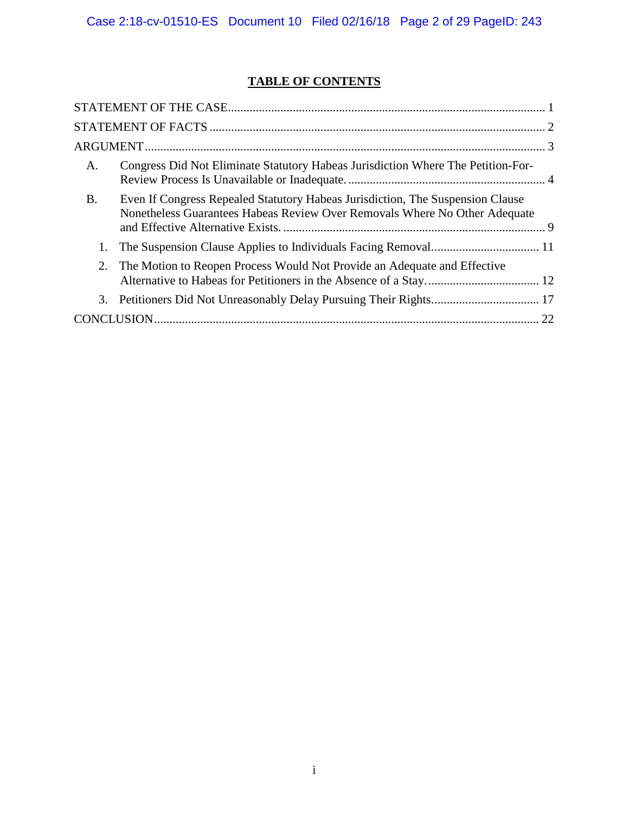# **TABLE OF CONTENTS**

| A.        | Congress Did Not Eliminate Statutory Habeas Jurisdiction Where The Petition-For-                                                                             |  |
|-----------|--------------------------------------------------------------------------------------------------------------------------------------------------------------|--|
| <b>B.</b> | Even If Congress Repealed Statutory Habeas Jurisdiction, The Suspension Clause<br>Nonetheless Guarantees Habeas Review Over Removals Where No Other Adequate |  |
| 1.        |                                                                                                                                                              |  |
| 2.        | The Motion to Reopen Process Would Not Provide an Adequate and Effective                                                                                     |  |
|           |                                                                                                                                                              |  |
|           |                                                                                                                                                              |  |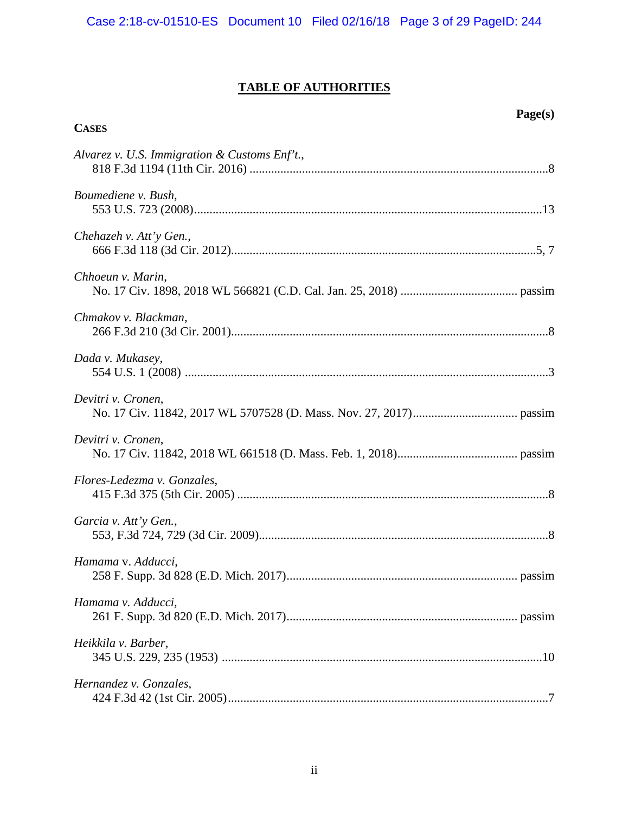# **TABLE OF AUTHORITIES**

**CASES**

| Alvarez v. U.S. Immigration & Customs Enf't., |
|-----------------------------------------------|
| Boumediene v. Bush,                           |
| Chehazeh v. Att'y Gen.,                       |
| Chhoeun v. Marin,                             |
| Chmakov v. Blackman,                          |
| Dada v. Mukasey,                              |
| Devitri v. Cronen,                            |
| Devitri v. Cronen,                            |
| Flores-Ledezma v. Gonzales,                   |
| Garcia v. Att'y Gen.,                         |
| Hamama v. Adducci,                            |
| Hamama v. Adducci,                            |
| Heikkila v. Barber,                           |
| Hernandez v. Gonzales,                        |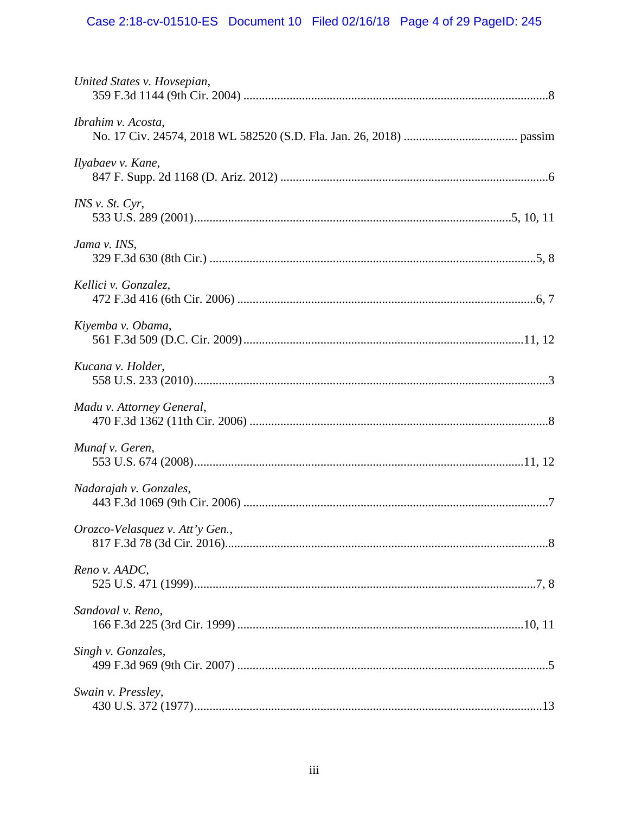# Case 2:18-cv-01510-ES Document 10 Filed 02/16/18 Page 4 of 29 PageID: 245

| United States v. Hovsepian,     |  |
|---------------------------------|--|
| Ibrahim v. Acosta,              |  |
| Ilyabaev v. Kane,               |  |
| <i>INS v. St. Cyr.</i>          |  |
| Jama v. INS,                    |  |
| Kellici v. Gonzalez,            |  |
| Kiyemba v. Obama,               |  |
| Kucana v. Holder,               |  |
| Madu v. Attorney General,       |  |
| Munaf v. Geren,                 |  |
| Nadarajah v. Gonzales,          |  |
| Orozco-Velasquez v. Att'y Gen., |  |
| Reno v. AADC,                   |  |
| Sandoval v. Reno,               |  |
| Singh v. Gonzales,              |  |
| Swain v. Pressley,              |  |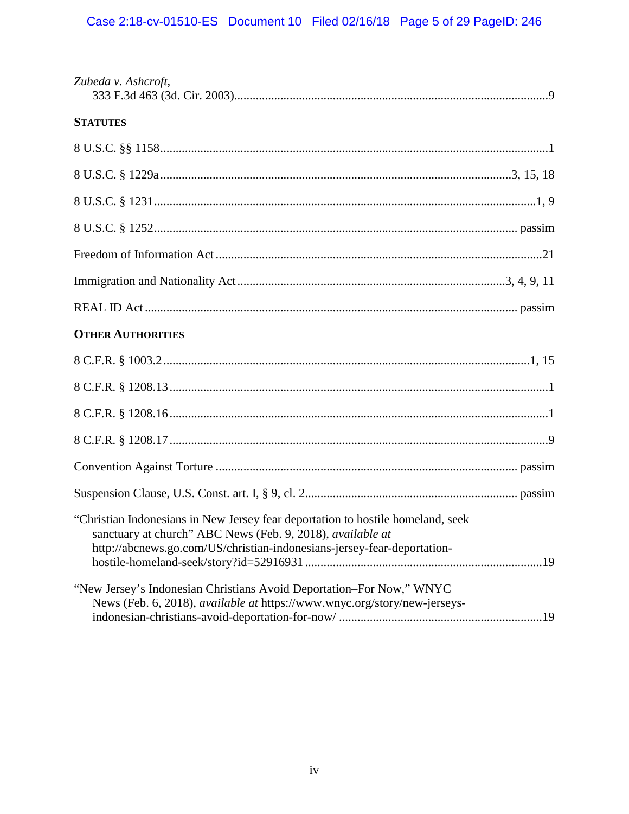| Zubeda v. Ashcroft,                                                                                                                                                                                                      |
|--------------------------------------------------------------------------------------------------------------------------------------------------------------------------------------------------------------------------|
| <b>STATUTES</b>                                                                                                                                                                                                          |
|                                                                                                                                                                                                                          |
|                                                                                                                                                                                                                          |
|                                                                                                                                                                                                                          |
|                                                                                                                                                                                                                          |
|                                                                                                                                                                                                                          |
|                                                                                                                                                                                                                          |
|                                                                                                                                                                                                                          |
| <b>OTHER AUTHORITIES</b>                                                                                                                                                                                                 |
|                                                                                                                                                                                                                          |
|                                                                                                                                                                                                                          |
|                                                                                                                                                                                                                          |
|                                                                                                                                                                                                                          |
|                                                                                                                                                                                                                          |
|                                                                                                                                                                                                                          |
| "Christian Indonesians in New Jersey fear deportation to hostile homeland, seek<br>sanctuary at church" ABC News (Feb. 9, 2018), available at<br>http://abcnews.go.com/US/christian-indonesians-jersey-fear-deportation- |
| "New Jersey's Indonesian Christians Avoid Deportation-For Now," WNYC<br>News (Feb. 6, 2018), available at https://www.wnyc.org/story/new-jerseys-                                                                        |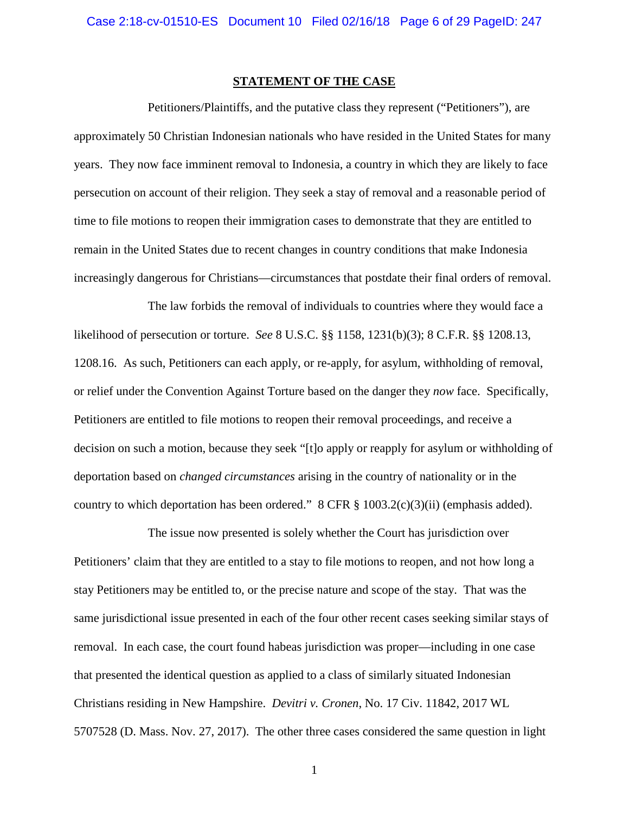## <span id="page-5-3"></span>**STATEMENT OF THE CASE**

<span id="page-5-0"></span>Petitioners/Plaintiffs, and the putative class they represent ("Petitioners"), are approximately 50 Christian Indonesian nationals who have resided in the United States for many years. They now face imminent removal to Indonesia, a country in which they are likely to face persecution on account of their religion. They seek a stay of removal and a reasonable period of time to file motions to reopen their immigration cases to demonstrate that they are entitled to remain in the United States due to recent changes in country conditions that make Indonesia increasingly dangerous for Christians—circumstances that postdate their final orders of removal.

<span id="page-5-2"></span>The law forbids the removal of individuals to countries where they would face a likelihood of persecution or torture. *See* 8 U.S.C. §§ 1158, 1231(b)(3); 8 C.F.R. §§ 1208.13, 1208.16. As such, Petitioners can each apply, or re-apply, for asylum, withholding of removal, or relief under the Convention Against Torture based on the danger they *now* face. Specifically, Petitioners are entitled to file motions to reopen their removal proceedings, and receive a decision on such a motion, because they seek "[t]o apply or reapply for asylum or withholding of deportation based on *changed circumstances* arising in the country of nationality or in the country to which deportation has been ordered." 8 CFR § 1003.2(c)(3)(ii) (emphasis added).

<span id="page-5-1"></span>The issue now presented is solely whether the Court has jurisdiction over Petitioners' claim that they are entitled to a stay to file motions to reopen, and not how long a stay Petitioners may be entitled to, or the precise nature and scope of the stay. That was the same jurisdictional issue presented in each of the four other recent cases seeking similar stays of removal. In each case, the court found habeas jurisdiction was proper—including in one case that presented the identical question as applied to a class of similarly situated Indonesian Christians residing in New Hampshire. *Devitri v. Cronen*, No. 17 Civ. 11842, 2017 WL 5707528 (D. Mass. Nov. 27, 2017). The other three cases considered the same question in light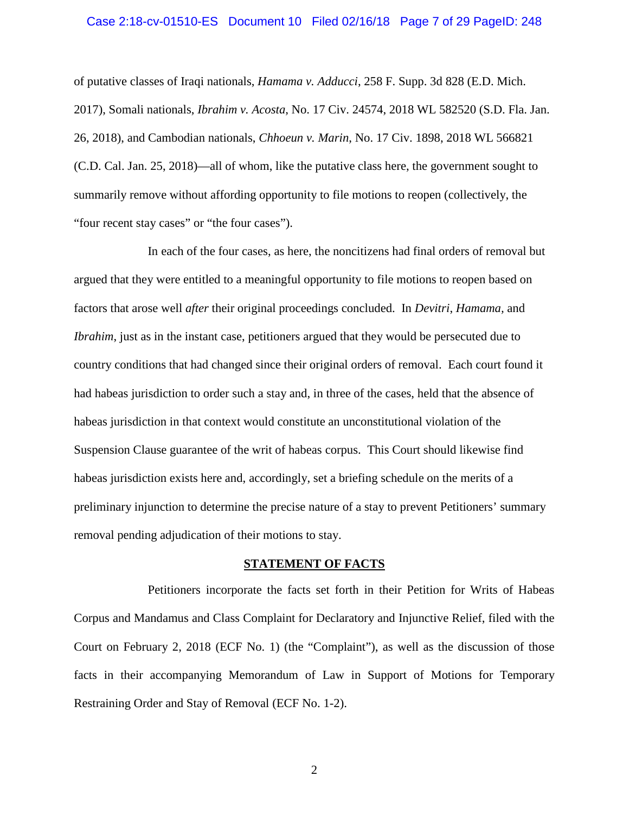#### <span id="page-6-1"></span>Case 2:18-cv-01510-ES Document 10 Filed 02/16/18 Page 7 of 29 PageID: 248

<span id="page-6-2"></span>of putative classes of Iraqi nationals, *Hamama v. Adducci*, 258 F. Supp. 3d 828 (E.D. Mich. 2017), Somali nationals, *Ibrahim v. Acosta*, No. 17 Civ. 24574, 2018 WL 582520 (S.D. Fla. Jan. 26, 2018), and Cambodian nationals, *Chhoeun v. Marin*, No. 17 Civ. 1898, 2018 WL 566821 (C.D. Cal. Jan. 25, 2018)—all of whom, like the putative class here, the government sought to summarily remove without affording opportunity to file motions to reopen (collectively, the "four recent stay cases" or "the four cases").

In each of the four cases, as here, the noncitizens had final orders of removal but argued that they were entitled to a meaningful opportunity to file motions to reopen based on factors that arose well *after* their original proceedings concluded. In *Devitri*, *Hamama,* and *Ibrahim*, just as in the instant case, petitioners argued that they would be persecuted due to country conditions that had changed since their original orders of removal. Each court found it had habeas jurisdiction to order such a stay and, in three of the cases, held that the absence of habeas jurisdiction in that context would constitute an unconstitutional violation of the Suspension Clause guarantee of the writ of habeas corpus. This Court should likewise find habeas jurisdiction exists here and, accordingly, set a briefing schedule on the merits of a preliminary injunction to determine the precise nature of a stay to prevent Petitioners' summary removal pending adjudication of their motions to stay.

#### **STATEMENT OF FACTS**

<span id="page-6-0"></span>Petitioners incorporate the facts set forth in their Petition for Writs of Habeas Corpus and Mandamus and Class Complaint for Declaratory and Injunctive Relief, filed with the Court on February 2, 2018 (ECF No. 1) (the "Complaint"), as well as the discussion of those facts in their accompanying Memorandum of Law in Support of Motions for Temporary Restraining Order and Stay of Removal (ECF No. 1-2).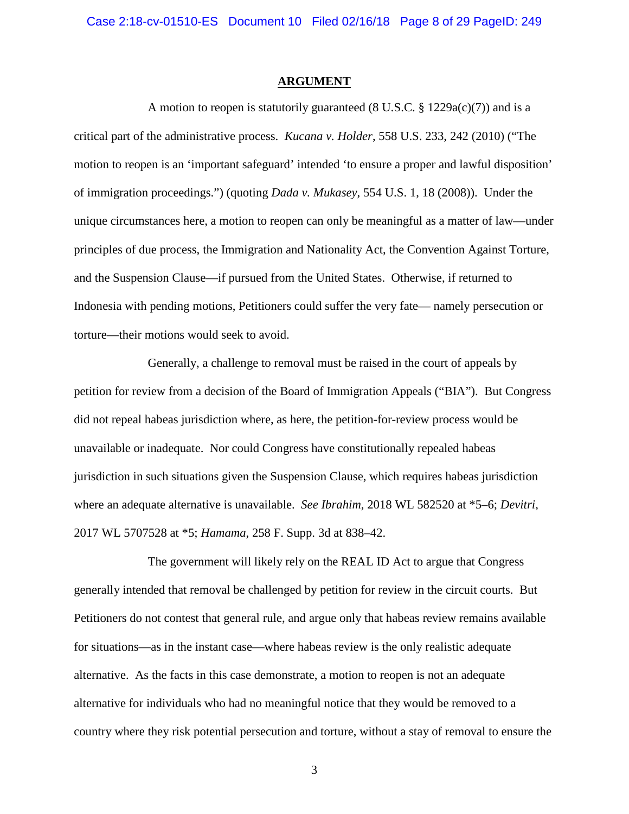#### <span id="page-7-3"></span><span id="page-7-2"></span><span id="page-7-1"></span>**ARGUMENT**

<span id="page-7-0"></span>A motion to reopen is statutorily guaranteed  $(8 \text{ U.S.C. } 8 \text{ 1229a(c)}(7))$  and is a critical part of the administrative process. *Kucana v. Holder*, 558 U.S. 233, 242 (2010) ("The motion to reopen is an 'important safeguard' intended 'to ensure a proper and lawful disposition' of immigration proceedings.") (quoting *Dada v. Mukasey*, 554 U.S. 1, 18 (2008)). Under the unique circumstances here, a motion to reopen can only be meaningful as a matter of law—under principles of due process, the Immigration and Nationality Act, the Convention Against Torture, and the Suspension Clause—if pursued from the United States. Otherwise, if returned to Indonesia with pending motions, Petitioners could suffer the very fate— namely persecution or torture—their motions would seek to avoid.

Generally, a challenge to removal must be raised in the court of appeals by petition for review from a decision of the Board of Immigration Appeals ("BIA"). But Congress did not repeal habeas jurisdiction where, as here, the petition-for-review process would be unavailable or inadequate. Nor could Congress have constitutionally repealed habeas jurisdiction in such situations given the Suspension Clause, which requires habeas jurisdiction where an adequate alternative is unavailable. *See Ibrahim*, 2018 WL 582520 at \*5–6; *Devitri*, 2017 WL 5707528 at \*5; *Hamama*, 258 F. Supp. 3d at 838–42.

The government will likely rely on the REAL ID Act to argue that Congress generally intended that removal be challenged by petition for review in the circuit courts. But Petitioners do not contest that general rule, and argue only that habeas review remains available for situations—as in the instant case—where habeas review is the only realistic adequate alternative. As the facts in this case demonstrate, a motion to reopen is not an adequate alternative for individuals who had no meaningful notice that they would be removed to a country where they risk potential persecution and torture, without a stay of removal to ensure the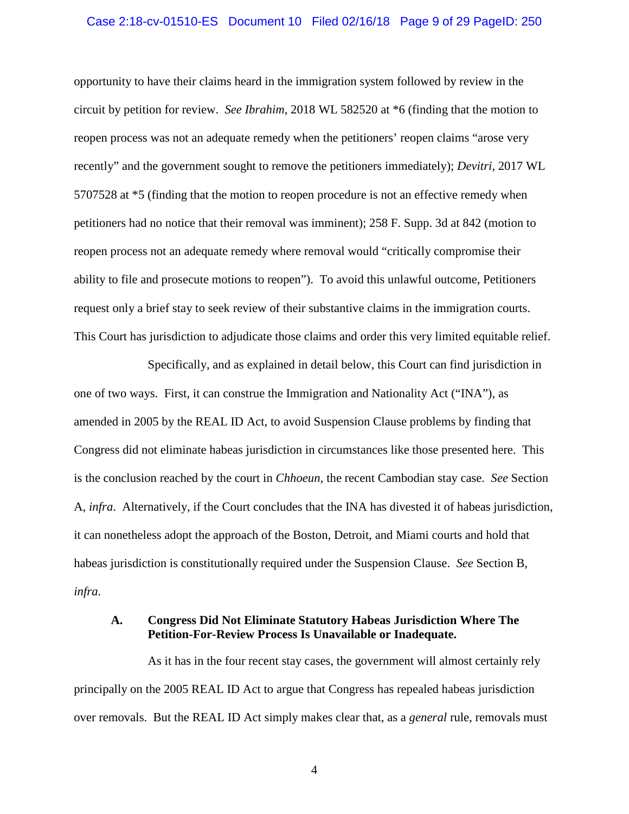#### Case 2:18-cv-01510-ES Document 10 Filed 02/16/18 Page 9 of 29 PageID: 250

opportunity to have their claims heard in the immigration system followed by review in the circuit by petition for review. *See Ibrahim*, 2018 WL 582520 at \*6 (finding that the motion to reopen process was not an adequate remedy when the petitioners' reopen claims "arose very recently" and the government sought to remove the petitioners immediately); *Devitri,* 2017 WL 5707528 at \*5 (finding that the motion to reopen procedure is not an effective remedy when petitioners had no notice that their removal was imminent); 258 F. Supp. 3d at 842 (motion to reopen process not an adequate remedy where removal would "critically compromise their ability to file and prosecute motions to reopen"). To avoid this unlawful outcome, Petitioners request only a brief stay to seek review of their substantive claims in the immigration courts. This Court has jurisdiction to adjudicate those claims and order this very limited equitable relief.

<span id="page-8-1"></span>Specifically, and as explained in detail below, this Court can find jurisdiction in one of two ways. First, it can construe the Immigration and Nationality Act ("INA"), as amended in 2005 by the REAL ID Act, to avoid Suspension Clause problems by finding that Congress did not eliminate habeas jurisdiction in circumstances like those presented here. This is the conclusion reached by the court in *Chhoeun*, the recent Cambodian stay case. *See* Section A, *infra*. Alternatively, if the Court concludes that the INA has divested it of habeas jurisdiction, it can nonetheless adopt the approach of the Boston, Detroit, and Miami courts and hold that habeas jurisdiction is constitutionally required under the Suspension Clause. *See* Section B, *infra*.

## <span id="page-8-0"></span>**A. Congress Did Not Eliminate Statutory Habeas Jurisdiction Where The Petition-For-Review Process Is Unavailable or Inadequate.**

As it has in the four recent stay cases, the government will almost certainly rely principally on the 2005 REAL ID Act to argue that Congress has repealed habeas jurisdiction over removals. But the REAL ID Act simply makes clear that, as a *general* rule, removals must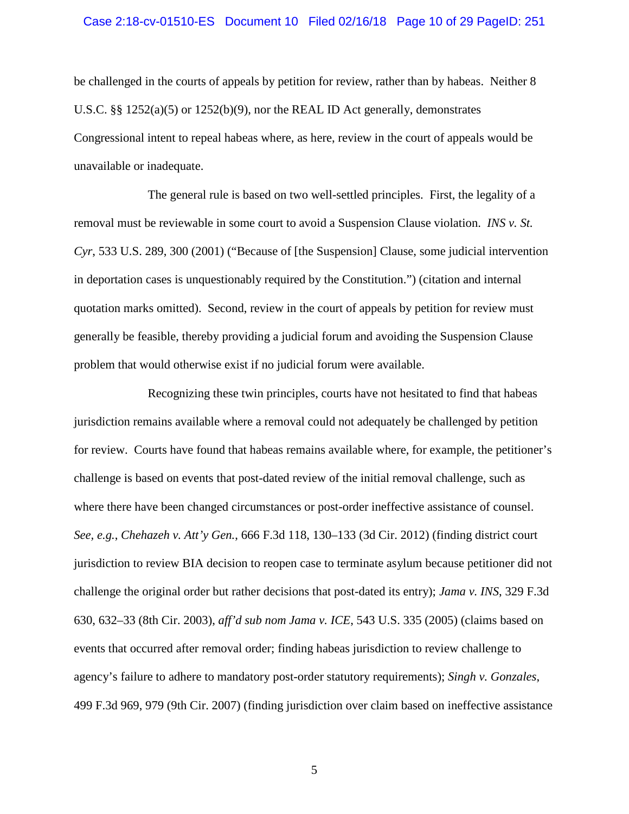#### Case 2:18-cv-01510-ES Document 10 Filed 02/16/18 Page 10 of 29 PageID: 251

be challenged in the courts of appeals by petition for review, rather than by habeas. Neither 8 U.S.C. §§ 1252(a)(5) or 1252(b)(9), nor the REAL ID Act generally, demonstrates Congressional intent to repeal habeas where, as here, review in the court of appeals would be unavailable or inadequate.

<span id="page-9-1"></span>The general rule is based on two well-settled principles. First, the legality of a removal must be reviewable in some court to avoid a Suspension Clause violation. *INS v. St. Cyr*, 533 U.S. 289, 300 (2001) ("Because of [the Suspension] Clause, some judicial intervention in deportation cases is unquestionably required by the Constitution.") (citation and internal quotation marks omitted). Second, review in the court of appeals by petition for review must generally be feasible, thereby providing a judicial forum and avoiding the Suspension Clause problem that would otherwise exist if no judicial forum were available.

<span id="page-9-3"></span><span id="page-9-2"></span><span id="page-9-0"></span>Recognizing these twin principles, courts have not hesitated to find that habeas jurisdiction remains available where a removal could not adequately be challenged by petition for review. Courts have found that habeas remains available where, for example, the petitioner's challenge is based on events that post-dated review of the initial removal challenge, such as where there have been changed circumstances or post-order ineffective assistance of counsel. *See, e.g.*, *Chehazeh v. Att'y Gen.*, 666 F.3d 118, 130–133 (3d Cir. 2012) (finding district court jurisdiction to review BIA decision to reopen case to terminate asylum because petitioner did not challenge the original order but rather decisions that post-dated its entry); *Jama v. INS*, 329 F.3d 630, 632–33 (8th Cir. 2003), *aff'd sub nom Jama v. ICE*, 543 U.S. 335 (2005) (claims based on events that occurred after removal order; finding habeas jurisdiction to review challenge to agency's failure to adhere to mandatory post-order statutory requirements); *Singh v. Gonzales*, 499 F.3d 969, 979 (9th Cir. 2007) (finding jurisdiction over claim based on ineffective assistance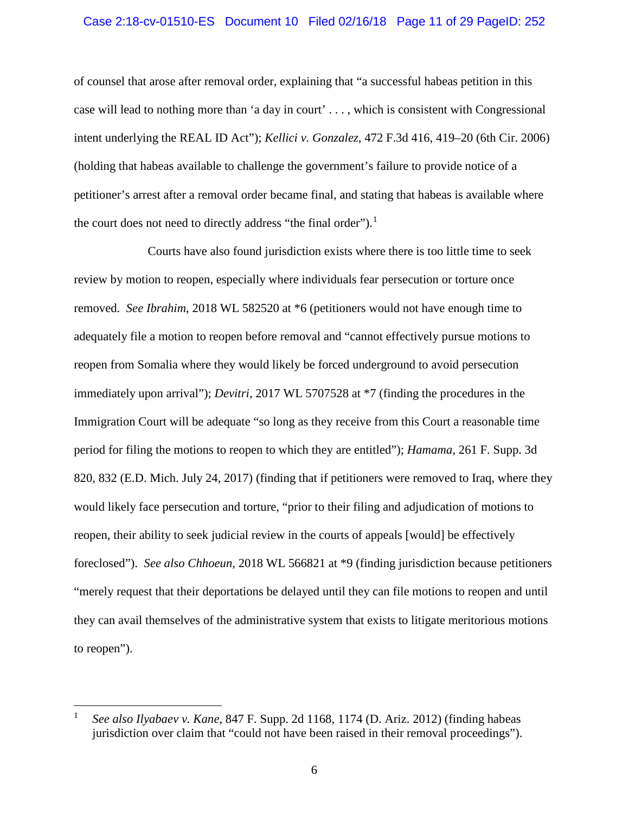### Case 2:18-cv-01510-ES Document 10 Filed 02/16/18 Page 11 of 29 PageID: 252

<span id="page-10-1"></span>of counsel that arose after removal order, explaining that "a successful habeas petition in this case will lead to nothing more than 'a day in court' . . . , which is consistent with Congressional intent underlying the REAL ID Act"); *Kellici v. Gonzalez*, 472 F.3d 416, 419–20 (6th Cir. 2006) (holding that habeas available to challenge the government's failure to provide notice of a petitioner's arrest after a removal order became final, and stating that habeas is available where the court does not need to directly address "the final order").<sup>[1](#page-10-2)</sup>

Courts have also found jurisdiction exists where there is too little time to seek review by motion to reopen, especially where individuals fear persecution or torture once removed. *See Ibrahim*, 2018 WL 582520 at \*6 (petitioners would not have enough time to adequately file a motion to reopen before removal and "cannot effectively pursue motions to reopen from Somalia where they would likely be forced underground to avoid persecution immediately upon arrival"); *Devitri*, 2017 WL 5707528 at \*7 (finding the procedures in the Immigration Court will be adequate "so long as they receive from this Court a reasonable time period for filing the motions to reopen to which they are entitled"); *Hamama*, 261 F. Supp. 3d 820, 832 (E.D. Mich. July 24, 2017) (finding that if petitioners were removed to Iraq, where they would likely face persecution and torture, "prior to their filing and adjudication of motions to reopen, their ability to seek judicial review in the courts of appeals [would] be effectively foreclosed"). *See also Chhoeun*, 2018 WL 566821 at \*9 (finding jurisdiction because petitioners "merely request that their deportations be delayed until they can file motions to reopen and until they can avail themselves of the administrative system that exists to litigate meritorious motions to reopen").

<span id="page-10-2"></span><span id="page-10-0"></span> <sup>1</sup> *See also Ilyabaev v. Kane*, 847 F. Supp. 2d 1168, 1174 (D. Ariz. 2012) (finding habeas jurisdiction over claim that "could not have been raised in their removal proceedings").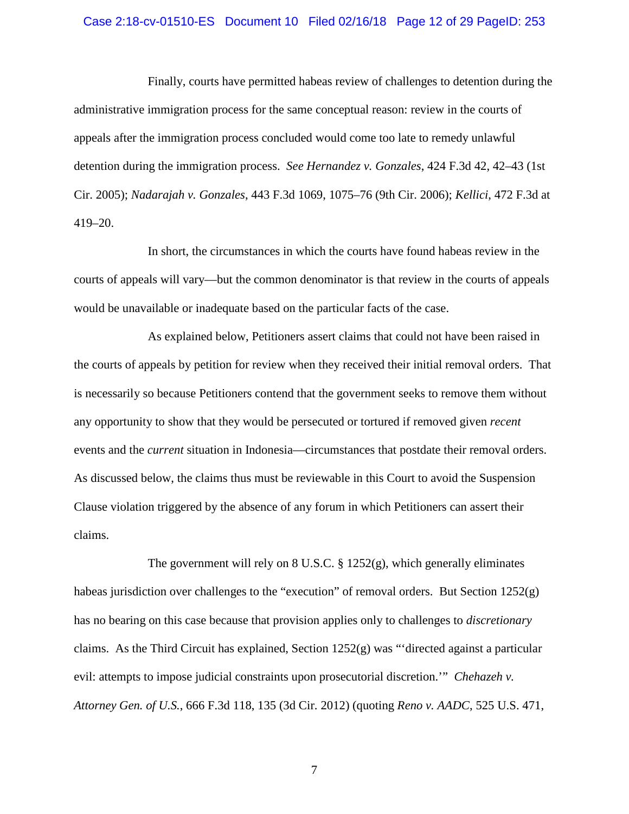#### Case 2:18-cv-01510-ES Document 10 Filed 02/16/18 Page 12 of 29 PageID: 253

<span id="page-11-1"></span>Finally, courts have permitted habeas review of challenges to detention during the administrative immigration process for the same conceptual reason: review in the courts of appeals after the immigration process concluded would come too late to remedy unlawful detention during the immigration process. *See Hernandez v. Gonzales*, 424 F.3d 42, 42–43 (1st Cir. 2005); *Nadarajah v. Gonzales*, 443 F.3d 1069, 1075–76 (9th Cir. 2006); *Kellici*, 472 F.3d at 419–20.

<span id="page-11-3"></span><span id="page-11-2"></span>In short, the circumstances in which the courts have found habeas review in the courts of appeals will vary—but the common denominator is that review in the courts of appeals would be unavailable or inadequate based on the particular facts of the case.

As explained below, Petitioners assert claims that could not have been raised in the courts of appeals by petition for review when they received their initial removal orders. That is necessarily so because Petitioners contend that the government seeks to remove them without any opportunity to show that they would be persecuted or tortured if removed given *recent* events and the *current* situation in Indonesia—circumstances that postdate their removal orders. As discussed below, the claims thus must be reviewable in this Court to avoid the Suspension Clause violation triggered by the absence of any forum in which Petitioners can assert their claims.

<span id="page-11-0"></span>The government will rely on 8 U.S.C. § 1252(g), which generally eliminates habeas jurisdiction over challenges to the "execution" of removal orders. But Section 1252(g) has no bearing on this case because that provision applies only to challenges to *discretionary* claims. As the Third Circuit has explained, Section  $1252(g)$  was "'directed against a particular evil: attempts to impose judicial constraints upon prosecutorial discretion.'" *Chehazeh v. Attorney Gen. of U.S.*, 666 F.3d 118, 135 (3d Cir. 2012) (quoting *Reno v. AADC*, 525 U.S. 471,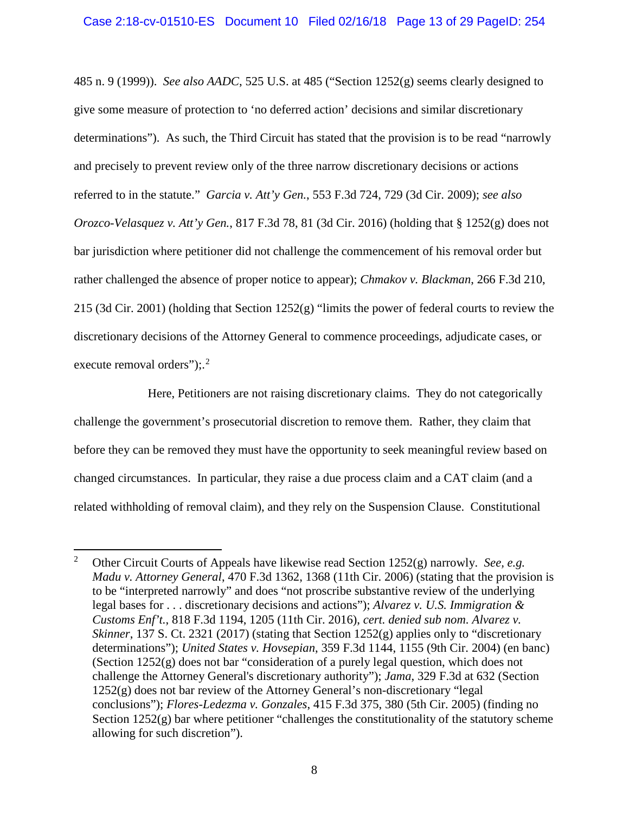<span id="page-12-8"></span><span id="page-12-7"></span><span id="page-12-3"></span>485 n. 9 (1999)). *See also AADC*, 525 U.S. at 485 ("Section 1252(g) seems clearly designed to give some measure of protection to 'no deferred action' decisions and similar discretionary determinations"). As such, the Third Circuit has stated that the provision is to be read "narrowly and precisely to prevent review only of the three narrow discretionary decisions or actions referred to in the statute." *Garcia v. Att'y Gen.*, 553 F.3d 724, 729 (3d Cir. 2009); *see also Orozco-Velasquez v. Att'y Gen.*, 817 F.3d 78, 81 (3d Cir. 2016) (holding that § 1252(g) does not bar jurisdiction where petitioner did not challenge the commencement of his removal order but rather challenged the absence of proper notice to appear); *Chmakov v. Blackman*, 266 F.3d 210, 215 (3d Cir. 2001) (holding that Section 1252(g) "limits the power of federal courts to review the discretionary decisions of the Attorney General to commence proceedings, adjudicate cases, or execute removal orders");.<sup>[2](#page-12-9)</sup>

<span id="page-12-1"></span>Here, Petitioners are not raising discretionary claims. They do not categorically challenge the government's prosecutorial discretion to remove them. Rather, they claim that before they can be removed they must have the opportunity to seek meaningful review based on changed circumstances. In particular, they raise a due process claim and a CAT claim (and a related withholding of removal claim), and they rely on the Suspension Clause. Constitutional

<span id="page-12-9"></span><span id="page-12-6"></span><span id="page-12-5"></span><span id="page-12-4"></span><span id="page-12-2"></span><span id="page-12-0"></span> <sup>2</sup> Other Circuit Courts of Appeals have likewise read Section 1252(g) narrowly. *See, e.g. Madu v. Attorney General*, 470 F.3d 1362, 1368 (11th Cir. 2006) (stating that the provision is to be "interpreted narrowly" and does "not proscribe substantive review of the underlying legal bases for . . . discretionary decisions and actions"); *Alvarez v. U.S. Immigration & Customs Enf't.*, 818 F.3d 1194, 1205 (11th Cir. 2016), *cert. denied sub nom. Alvarez v. Skinner*, 137 S. Ct. 2321 (2017) (stating that Section 1252(g) applies only to "discretionary determinations"); *United States v. Hovsepian*, 359 F.3d 1144, 1155 (9th Cir. 2004) (en banc) (Section 1252(g) does not bar "consideration of a purely legal question, which does not challenge the Attorney General's discretionary authority"); *Jama*, 329 F.3d at 632 (Section 1252(g) does not bar review of the Attorney General's non-discretionary "legal conclusions"); *Flores-Ledezma v. Gonzales*, 415 F.3d 375, 380 (5th Cir. 2005) (finding no Section  $1252(g)$  bar where petitioner "challenges the constitutionality of the statutory scheme allowing for such discretion").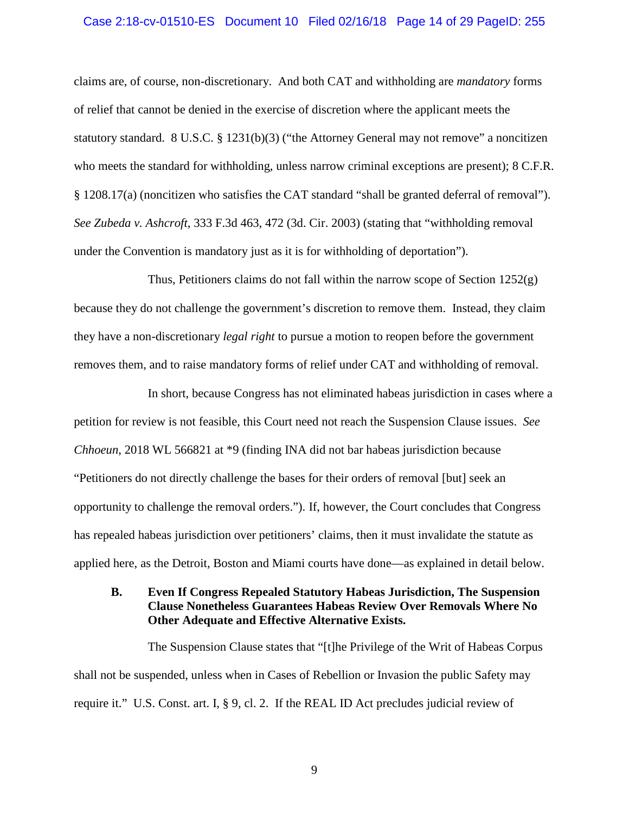#### Case 2:18-cv-01510-ES Document 10 Filed 02/16/18 Page 14 of 29 PageID: 255

<span id="page-13-4"></span><span id="page-13-2"></span>claims are, of course, non-discretionary. And both CAT and withholding are *mandatory* forms of relief that cannot be denied in the exercise of discretion where the applicant meets the statutory standard. 8 U.S.C. § 1231(b)(3) ("the Attorney General may not remove" a noncitizen who meets the standard for withholding, unless narrow criminal exceptions are present); 8 C.F.R. § 1208.17(a) (noncitizen who satisfies the CAT standard "shall be granted deferral of removal"). *See Zubeda v. Ashcroft*, 333 F.3d 463, 472 (3d. Cir. 2003) (stating that "withholding removal under the Convention is mandatory just as it is for withholding of deportation").

<span id="page-13-1"></span>Thus, Petitioners claims do not fall within the narrow scope of Section  $1252(g)$ because they do not challenge the government's discretion to remove them. Instead, they claim they have a non-discretionary *legal right* to pursue a motion to reopen before the government removes them, and to raise mandatory forms of relief under CAT and withholding of removal.

<span id="page-13-3"></span>In short, because Congress has not eliminated habeas jurisdiction in cases where a petition for review is not feasible, this Court need not reach the Suspension Clause issues. *See Chhoeun*, 2018 WL 566821 at \*9 (finding INA did not bar habeas jurisdiction because "Petitioners do not directly challenge the bases for their orders of removal [but] seek an opportunity to challenge the removal orders."). If, however, the Court concludes that Congress has repealed habeas jurisdiction over petitioners' claims, then it must invalidate the statute as applied here, as the Detroit, Boston and Miami courts have done—as explained in detail below.

# <span id="page-13-0"></span>**B. Even If Congress Repealed Statutory Habeas Jurisdiction, The Suspension Clause Nonetheless Guarantees Habeas Review Over Removals Where No Other Adequate and Effective Alternative Exists.**

<span id="page-13-5"></span>The Suspension Clause states that "[t]he Privilege of the Writ of Habeas Corpus shall not be suspended, unless when in Cases of Rebellion or Invasion the public Safety may require it." U.S. Const. art. I, § 9, cl. 2. If the REAL ID Act precludes judicial review of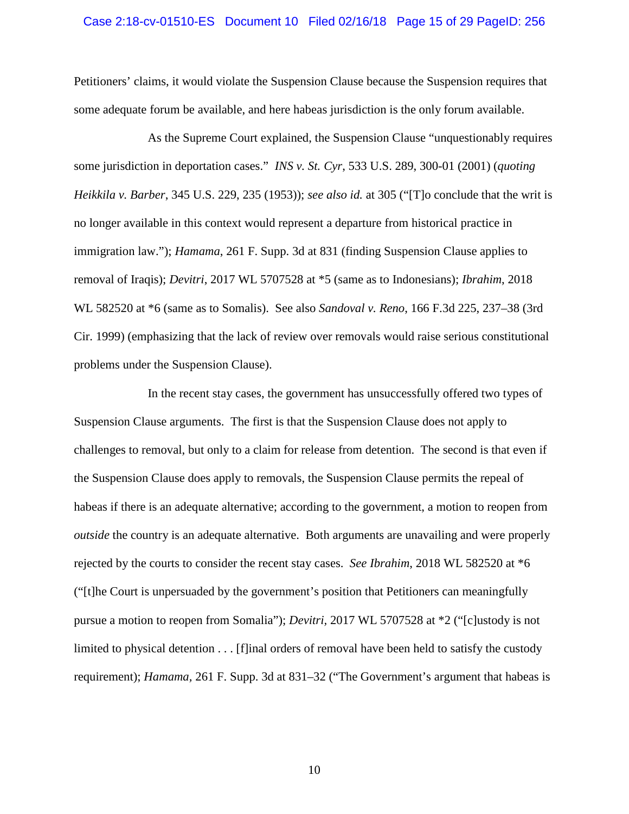#### Case 2:18-cv-01510-ES Document 10 Filed 02/16/18 Page 15 of 29 PageID: 256

Petitioners' claims, it would violate the Suspension Clause because the Suspension requires that some adequate forum be available, and here habeas jurisdiction is the only forum available.

<span id="page-14-0"></span>As the Supreme Court explained, the Suspension Clause "unquestionably requires some jurisdiction in deportation cases." *INS v. St. Cyr*, 533 U.S. 289, 300-01 (2001) (*quoting Heikkila v. Barber*, 345 U.S. 229, 235 (1953)); *see also id.* at 305 ("[T]o conclude that the writ is no longer available in this context would represent a departure from historical practice in immigration law."); *Hamama*, 261 F. Supp. 3d at 831 (finding Suspension Clause applies to removal of Iraqis); *Devitri*, 2017 WL 5707528 at \*5 (same as to Indonesians); *Ibrahim*, 2018 WL 582520 at \*6 (same as to Somalis). See also *Sandoval v. Reno*, 166 F.3d 225, 237–38 (3rd Cir. 1999) (emphasizing that the lack of review over removals would raise serious constitutional problems under the Suspension Clause).

<span id="page-14-1"></span>In the recent stay cases, the government has unsuccessfully offered two types of Suspension Clause arguments. The first is that the Suspension Clause does not apply to challenges to removal, but only to a claim for release from detention. The second is that even if the Suspension Clause does apply to removals, the Suspension Clause permits the repeal of habeas if there is an adequate alternative; according to the government, a motion to reopen from *outside* the country is an adequate alternative. Both arguments are unavailing and were properly rejected by the courts to consider the recent stay cases. *See Ibrahim*, 2018 WL 582520 at \*6 ("[t]he Court is unpersuaded by the government's position that Petitioners can meaningfully pursue a motion to reopen from Somalia"); *Devitri,* 2017 WL 5707528 at \*2 ("[c]ustody is not limited to physical detention . . . [f]inal orders of removal have been held to satisfy the custody requirement); *Hamama,* 261 F. Supp. 3d at 831–32 ("The Government's argument that habeas is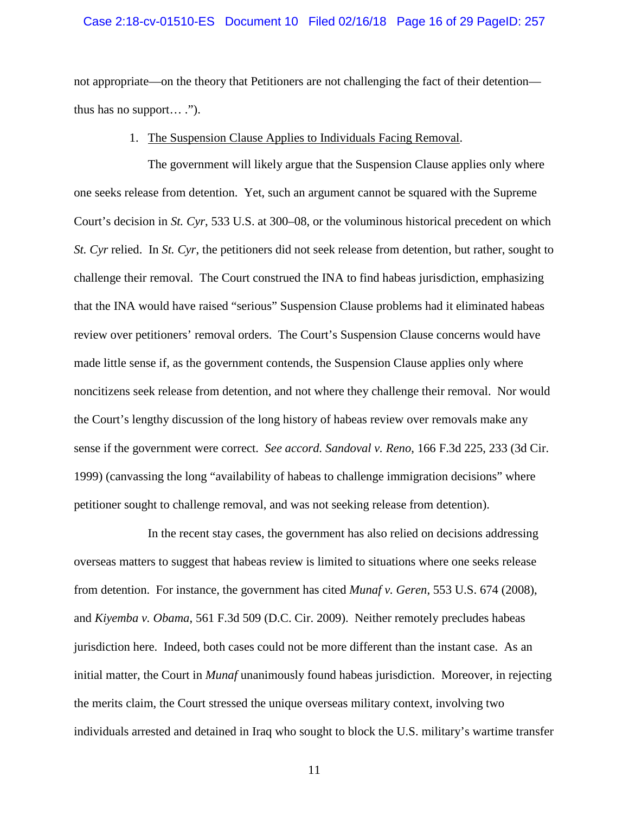#### Case 2:18-cv-01510-ES Document 10 Filed 02/16/18 Page 16 of 29 PageID: 257

not appropriate—on the theory that Petitioners are not challenging the fact of their detention thus has no support… .").

#### <span id="page-15-5"></span><span id="page-15-1"></span>1. The Suspension Clause Applies to Individuals Facing Removal.

<span id="page-15-0"></span>The government will likely argue that the Suspension Clause applies only where one seeks release from detention. Yet, such an argument cannot be squared with the Supreme Court's decision in *St. Cyr*, 533 U.S. at 300–08, or the voluminous historical precedent on which *St. Cyr* relied. In *St. Cyr*, the petitioners did not seek release from detention, but rather, sought to challenge their removal. The Court construed the INA to find habeas jurisdiction, emphasizing that the INA would have raised "serious" Suspension Clause problems had it eliminated habeas review over petitioners' removal orders. The Court's Suspension Clause concerns would have made little sense if, as the government contends, the Suspension Clause applies only where noncitizens seek release from detention, and not where they challenge their removal. Nor would the Court's lengthy discussion of the long history of habeas review over removals make any sense if the government were correct. *See accord. Sandoval v. Reno*, 166 F.3d 225, 233 (3d Cir. 1999) (canvassing the long "availability of habeas to challenge immigration decisions" where petitioner sought to challenge removal, and was not seeking release from detention).

<span id="page-15-4"></span><span id="page-15-3"></span><span id="page-15-2"></span>In the recent stay cases, the government has also relied on decisions addressing overseas matters to suggest that habeas review is limited to situations where one seeks release from detention. For instance, the government has cited *Munaf v. Geren*, 553 U.S. 674 (2008), and *Kiyemba v. Obama*, 561 F.3d 509 (D.C. Cir. 2009). Neither remotely precludes habeas jurisdiction here. Indeed, both cases could not be more different than the instant case. As an initial matter, the Court in *Munaf* unanimously found habeas jurisdiction. Moreover, in rejecting the merits claim, the Court stressed the unique overseas military context, involving two individuals arrested and detained in Iraq who sought to block the U.S. military's wartime transfer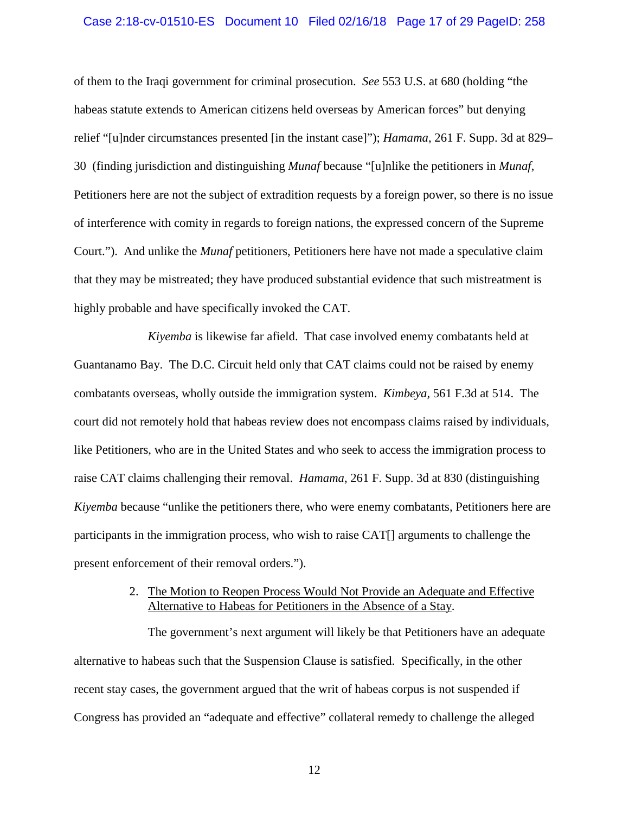#### Case 2:18-cv-01510-ES Document 10 Filed 02/16/18 Page 17 of 29 PageID: 258

of them to the Iraqi government for criminal prosecution. *See* 553 U.S. at 680 (holding "the habeas statute extends to American citizens held overseas by American forces" but denying relief "[u]nder circumstances presented [in the instant case]"); *Hamama*, 261 F. Supp. 3d at 829– 30 (finding jurisdiction and distinguishing *Munaf* because "[u]nlike the petitioners in *Munaf*, Petitioners here are not the subject of extradition requests by a foreign power, so there is no issue of interference with comity in regards to foreign nations, the expressed concern of the Supreme Court."). And unlike the *Munaf* petitioners, Petitioners here have not made a speculative claim that they may be mistreated; they have produced substantial evidence that such mistreatment is highly probable and have specifically invoked the CAT.

*Kiyemba* is likewise far afield. That case involved enemy combatants held at Guantanamo Bay. The D.C. Circuit held only that CAT claims could not be raised by enemy combatants overseas, wholly outside the immigration system. *Kimbeya,* 561 F.3d at 514. The court did not remotely hold that habeas review does not encompass claims raised by individuals, like Petitioners, who are in the United States and who seek to access the immigration process to raise CAT claims challenging their removal. *Hamama*, 261 F. Supp. 3d at 830 (distinguishing *Kiyemba* because "unlike the petitioners there, who were enemy combatants, Petitioners here are participants in the immigration process, who wish to raise CAT[] arguments to challenge the present enforcement of their removal orders.").

# 2. The Motion to Reopen Process Would Not Provide an Adequate and Effective Alternative to Habeas for Petitioners in the Absence of a Stay.

<span id="page-16-0"></span>The government's next argument will likely be that Petitioners have an adequate alternative to habeas such that the Suspension Clause is satisfied. Specifically, in the other recent stay cases, the government argued that the writ of habeas corpus is not suspended if Congress has provided an "adequate and effective" collateral remedy to challenge the alleged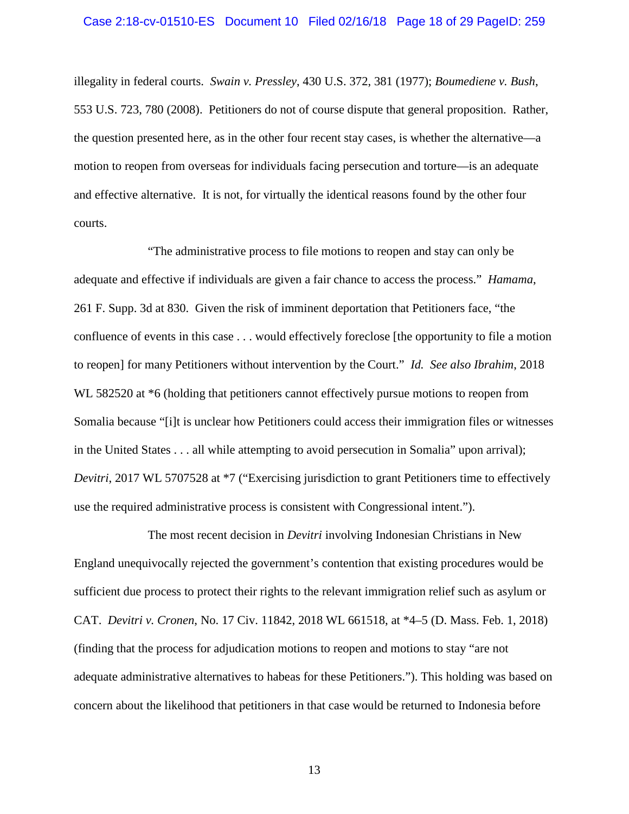#### <span id="page-17-0"></span>Case 2:18-cv-01510-ES Document 10 Filed 02/16/18 Page 18 of 29 PageID: 259

<span id="page-17-1"></span>illegality in federal courts. *Swain v. Pressley*, 430 U.S. 372, 381 (1977); *Boumediene v. Bush*, 553 U.S. 723, 780 (2008). Petitioners do not of course dispute that general proposition. Rather, the question presented here, as in the other four recent stay cases, is whether the alternative—a motion to reopen from overseas for individuals facing persecution and torture—is an adequate and effective alternative. It is not, for virtually the identical reasons found by the other four courts.

"The administrative process to file motions to reopen and stay can only be adequate and effective if individuals are given a fair chance to access the process." *Hamama*, 261 F. Supp. 3d at 830. Given the risk of imminent deportation that Petitioners face, "the confluence of events in this case . . . would effectively foreclose [the opportunity to file a motion to reopen] for many Petitioners without intervention by the Court." *Id. See also Ibrahim*, 2018 WL 582520 at \*6 (holding that petitioners cannot effectively pursue motions to reopen from Somalia because "[i]t is unclear how Petitioners could access their immigration files or witnesses in the United States . . . all while attempting to avoid persecution in Somalia" upon arrival); *Devitri*, 2017 WL 5707528 at  $*7$  ("Exercising jurisdiction to grant Petitioners time to effectively use the required administrative process is consistent with Congressional intent.").

The most recent decision in *Devitri* involving Indonesian Christians in New England unequivocally rejected the government's contention that existing procedures would be sufficient due process to protect their rights to the relevant immigration relief such as asylum or CAT. *Devitri v. Cronen*, No. 17 Civ. 11842, 2018 WL 661518, at \*4–5 (D. Mass. Feb. 1, 2018) (finding that the process for adjudication motions to reopen and motions to stay "are not adequate administrative alternatives to habeas for these Petitioners."). This holding was based on concern about the likelihood that petitioners in that case would be returned to Indonesia before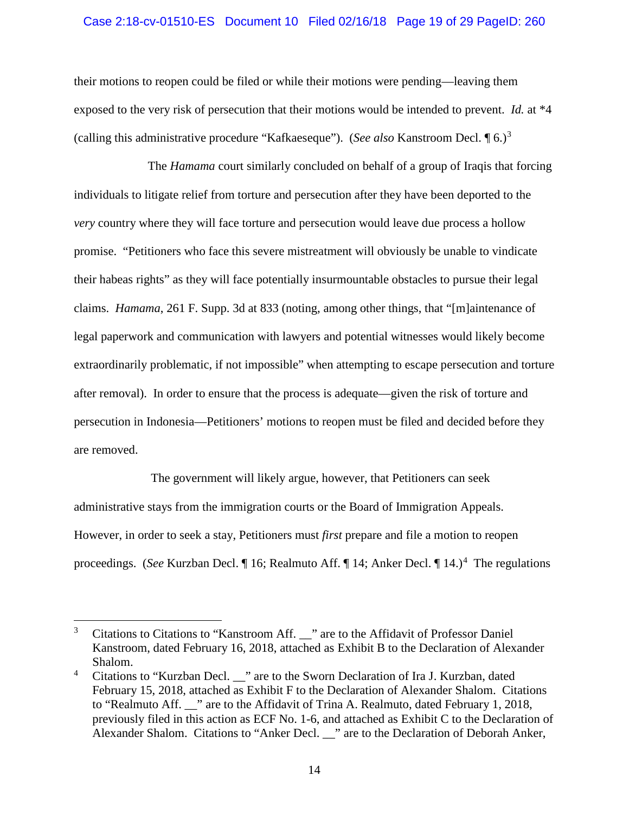## Case 2:18-cv-01510-ES Document 10 Filed 02/16/18 Page 19 of 29 PageID: 260

their motions to reopen could be filed or while their motions were pending—leaving them exposed to the very risk of persecution that their motions would be intended to prevent. *Id.* at \*4 (calling this administrative procedure "Kafkaeseque"). (*See also* Kanstroom Decl. ¶ 6.)[3](#page-18-0)

The *Hamama* court similarly concluded on behalf of a group of Iraqis that forcing individuals to litigate relief from torture and persecution after they have been deported to the *very* country where they will face torture and persecution would leave due process a hollow promise. "Petitioners who face this severe mistreatment will obviously be unable to vindicate their habeas rights" as they will face potentially insurmountable obstacles to pursue their legal claims. *Hamama*, 261 F. Supp. 3d at 833 (noting, among other things, that "[m]aintenance of legal paperwork and communication with lawyers and potential witnesses would likely become extraordinarily problematic, if not impossible" when attempting to escape persecution and torture after removal). In order to ensure that the process is adequate—given the risk of torture and persecution in Indonesia—Petitioners' motions to reopen must be filed and decided before they are removed.

The government will likely argue, however, that Petitioners can seek administrative stays from the immigration courts or the Board of Immigration Appeals. However, in order to seek a stay, Petitioners must *first* prepare and file a motion to reopen proceedings. (*See* Kurzban Decl. | 16; Realmuto Aff. | 1[4](#page-18-1); Anker Decl. | 14.)<sup>4</sup> The regulations

<span id="page-18-0"></span><sup>&</sup>lt;sup>3</sup> Citations to Citations to "Kanstroom Aff. " are to the Affidavit of Professor Daniel Kanstroom, dated February 16, 2018, attached as Exhibit B to the Declaration of Alexander Shalom.

<span id="page-18-1"></span>Citations to "Kurzban Decl. \_\_" are to the Sworn Declaration of Ira J. Kurzban, dated February 15, 2018, attached as Exhibit F to the Declaration of Alexander Shalom. Citations to "Realmuto Aff. \_\_" are to the Affidavit of Trina A. Realmuto, dated February 1, 2018, previously filed in this action as ECF No. 1-6, and attached as Exhibit C to the Declaration of Alexander Shalom. Citations to "Anker Decl. \_\_" are to the Declaration of Deborah Anker,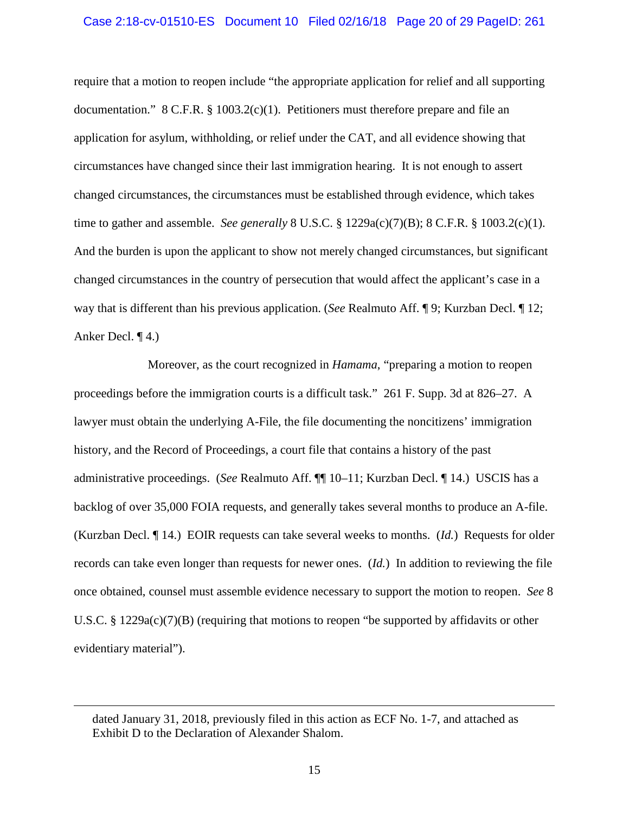#### Case 2:18-cv-01510-ES Document 10 Filed 02/16/18 Page 20 of 29 PageID: 261

<span id="page-19-0"></span>require that a motion to reopen include "the appropriate application for relief and all supporting documentation."  $8 \text{ C.F.R. } \frac{8}{9}$  1003.2(c)(1). Petitioners must therefore prepare and file an application for asylum, withholding, or relief under the CAT, and all evidence showing that circumstances have changed since their last immigration hearing. It is not enough to assert changed circumstances, the circumstances must be established through evidence, which takes time to gather and assemble. *See generally* 8 U.S.C. § 1229a(c)(7)(B); 8 C.F.R. § 1003.2(c)(1). And the burden is upon the applicant to show not merely changed circumstances, but significant changed circumstances in the country of persecution that would affect the applicant's case in a way that is different than his previous application. (*See* Realmuto Aff. ¶ 9; Kurzban Decl. ¶ 12; Anker Decl. ¶ 4.)

Moreover, as the court recognized in *Hamama*, "preparing a motion to reopen proceedings before the immigration courts is a difficult task." 261 F. Supp. 3d at 826–27. A lawyer must obtain the underlying A-File, the file documenting the noncitizens' immigration history, and the Record of Proceedings, a court file that contains a history of the past administrative proceedings. (*See* Realmuto Aff. ¶¶ 10–11; Kurzban Decl. ¶ 14.) USCIS has a backlog of over 35,000 FOIA requests, and generally takes several months to produce an A-file. (Kurzban Decl. ¶ 14.) EOIR requests can take several weeks to months. (*Id.*) Requests for older records can take even longer than requests for newer ones. (*Id.*)In addition to reviewing the file once obtained, counsel must assemble evidence necessary to support the motion to reopen. *See* 8 U.S.C. § 1229a(c)(7)(B) (requiring that motions to reopen "be supported by affidavits or other evidentiary material").

 $\overline{a}$ 

dated January 31, 2018, previously filed in this action as ECF No. 1-7, and attached as Exhibit D to the Declaration of Alexander Shalom.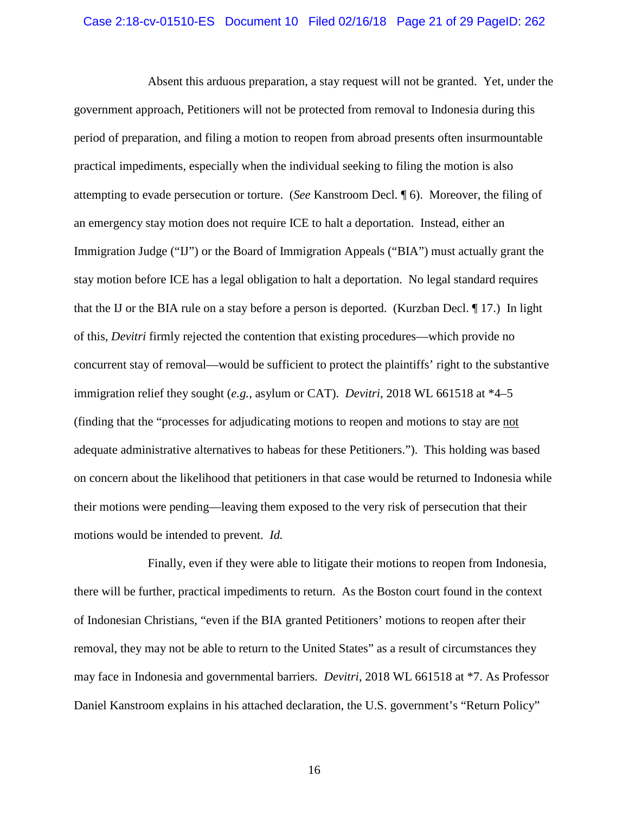#### Case 2:18-cv-01510-ES Document 10 Filed 02/16/18 Page 21 of 29 PageID: 262

Absent this arduous preparation, a stay request will not be granted. Yet, under the government approach, Petitioners will not be protected from removal to Indonesia during this period of preparation, and filing a motion to reopen from abroad presents often insurmountable practical impediments, especially when the individual seeking to filing the motion is also attempting to evade persecution or torture. (*See* Kanstroom Decl. ¶ 6). Moreover, the filing of an emergency stay motion does not require ICE to halt a deportation. Instead, either an Immigration Judge ("IJ") or the Board of Immigration Appeals ("BIA") must actually grant the stay motion before ICE has a legal obligation to halt a deportation. No legal standard requires that the IJ or the BIA rule on a stay before a person is deported. (Kurzban Decl. ¶ 17.) In light of this, *Devitri* firmly rejected the contention that existing procedures—which provide no concurrent stay of removal—would be sufficient to protect the plaintiffs' right to the substantive immigration relief they sought (*e.g.*, asylum or CAT). *Devitri*, 2018 WL 661518 at \*4–5 (finding that the "processes for adjudicating motions to reopen and motions to stay are not adequate administrative alternatives to habeas for these Petitioners."). This holding was based on concern about the likelihood that petitioners in that case would be returned to Indonesia while their motions were pending—leaving them exposed to the very risk of persecution that their motions would be intended to prevent. *Id.*

Finally, even if they were able to litigate their motions to reopen from Indonesia, there will be further, practical impediments to return. As the Boston court found in the context of Indonesian Christians, "even if the BIA granted Petitioners' motions to reopen after their removal, they may not be able to return to the United States" as a result of circumstances they may face in Indonesia and governmental barriers. *Devitri*, 2018 WL 661518 at \*7. As Professor Daniel Kanstroom explains in his attached declaration, the U.S. government's "Return Policy"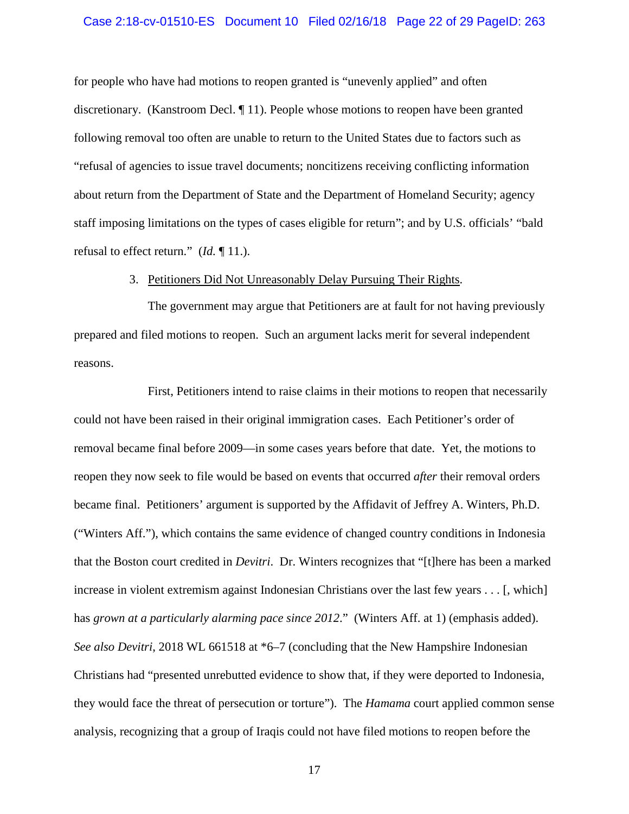#### Case 2:18-cv-01510-ES Document 10 Filed 02/16/18 Page 22 of 29 PageID: 263

for people who have had motions to reopen granted is "unevenly applied" and often discretionary. (Kanstroom Decl. ¶ 11). People whose motions to reopen have been granted following removal too often are unable to return to the United States due to factors such as "refusal of agencies to issue travel documents; noncitizens receiving conflicting information about return from the Department of State and the Department of Homeland Security; agency staff imposing limitations on the types of cases eligible for return"; and by U.S. officials' "bald refusal to effect return." (*Id.* ¶ 11.).

## 3. Petitioners Did Not Unreasonably Delay Pursuing Their Rights.

<span id="page-21-0"></span>The government may argue that Petitioners are at fault for not having previously prepared and filed motions to reopen. Such an argument lacks merit for several independent reasons.

First, Petitioners intend to raise claims in their motions to reopen that necessarily could not have been raised in their original immigration cases. Each Petitioner's order of removal became final before 2009—in some cases years before that date. Yet, the motions to reopen they now seek to file would be based on events that occurred *after* their removal orders became final. Petitioners' argument is supported by the Affidavit of Jeffrey A. Winters, Ph.D. ("Winters Aff."), which contains the same evidence of changed country conditions in Indonesia that the Boston court credited in *Devitri*. Dr. Winters recognizes that "[t]here has been a marked increase in violent extremism against Indonesian Christians over the last few years . . . [, which] has *grown at a particularly alarming pace since 2012*." (Winters Aff. at 1) (emphasis added). *See also Devitri*, 2018 WL 661518 at \*6–7 (concluding that the New Hampshire Indonesian Christians had "presented unrebutted evidence to show that, if they were deported to Indonesia, they would face the threat of persecution or torture"). The *Hamama* court applied common sense analysis, recognizing that a group of Iraqis could not have filed motions to reopen before the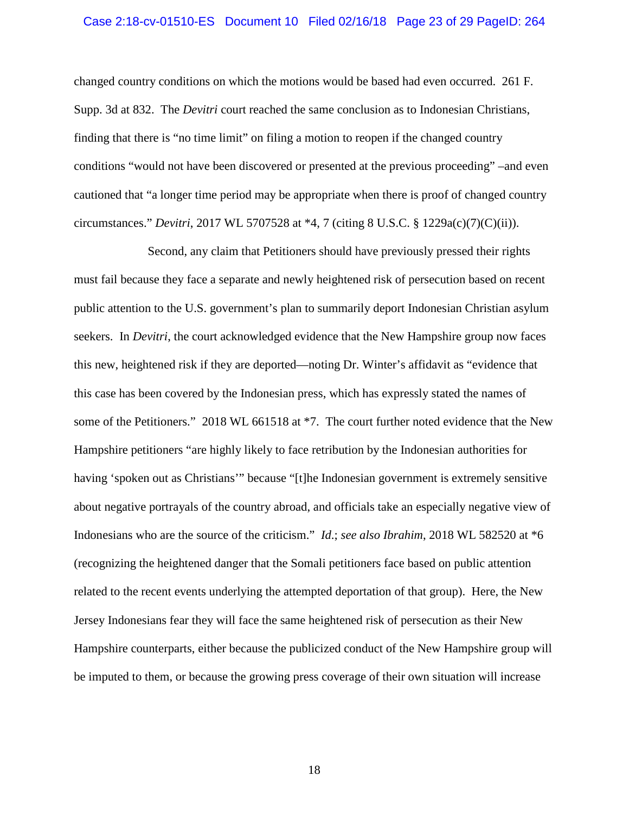#### Case 2:18-cv-01510-ES Document 10 Filed 02/16/18 Page 23 of 29 PageID: 264

changed country conditions on which the motions would be based had even occurred. 261 F. Supp. 3d at 832. The *Devitri* court reached the same conclusion as to Indonesian Christians, finding that there is "no time limit" on filing a motion to reopen if the changed country conditions "would not have been discovered or presented at the previous proceeding" –and even cautioned that "a longer time period may be appropriate when there is proof of changed country circumstances." *Devitri*, 2017 WL 5707528 at \*4, 7 (citing 8 U.S.C. § 1229a(c)(7)(C)(ii)).

Second, any claim that Petitioners should have previously pressed their rights must fail because they face a separate and newly heightened risk of persecution based on recent public attention to the U.S. government's plan to summarily deport Indonesian Christian asylum seekers. In *Devitri*, the court acknowledged evidence that the New Hampshire group now faces this new, heightened risk if they are deported—noting Dr. Winter's affidavit as "evidence that this case has been covered by the Indonesian press, which has expressly stated the names of some of the Petitioners." 2018 WL 661518 at \*7. The court further noted evidence that the New Hampshire petitioners "are highly likely to face retribution by the Indonesian authorities for having 'spoken out as Christians'" because "[t]he Indonesian government is extremely sensitive about negative portrayals of the country abroad, and officials take an especially negative view of Indonesians who are the source of the criticism." *Id*.; *see also Ibrahim*, 2018 WL 582520 at \*6 (recognizing the heightened danger that the Somali petitioners face based on public attention related to the recent events underlying the attempted deportation of that group). Here, the New Jersey Indonesians fear they will face the same heightened risk of persecution as their New Hampshire counterparts, either because the publicized conduct of the New Hampshire group will be imputed to them, or because the growing press coverage of their own situation will increase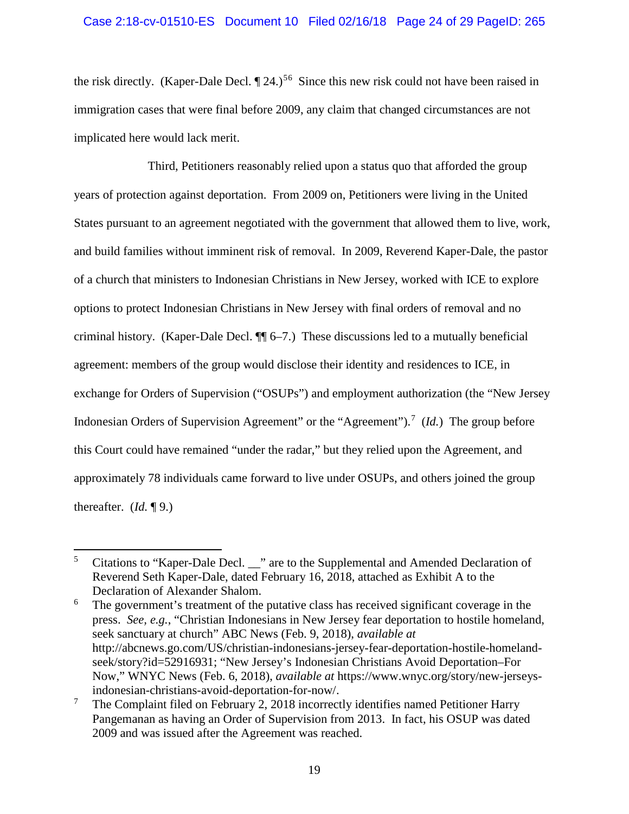# Case 2:18-cv-01510-ES Document 10 Filed 02/16/18 Page 24 of 29 PageID: 265

the risk directly. (Kaper-Dale Decl.  $\P$  24.)<sup>[5](#page-23-0)[6](#page-23-1)</sup> Since this new risk could not have been raised in immigration cases that were final before 2009, any claim that changed circumstances are not implicated here would lack merit.

Third, Petitioners reasonably relied upon a status quo that afforded the group years of protection against deportation. From 2009 on, Petitioners were living in the United States pursuant to an agreement negotiated with the government that allowed them to live, work, and build families without imminent risk of removal. In 2009, Reverend Kaper-Dale, the pastor of a church that ministers to Indonesian Christians in New Jersey, worked with ICE to explore options to protect Indonesian Christians in New Jersey with final orders of removal and no criminal history. (Kaper-Dale Decl. ¶¶ 6–7.) These discussions led to a mutually beneficial agreement: members of the group would disclose their identity and residences to ICE, in exchange for Orders of Supervision ("OSUPs") and employment authorization (the "New Jersey Indonesian Orders of Supervision Agreement" or the "Agreement").<sup>[7](#page-23-2)</sup> (*Id.*) The group before this Court could have remained "under the radar," but they relied upon the Agreement, and approximately 78 individuals came forward to live under OSUPs, and others joined the group thereafter. (*Id.* ¶ 9.)

<span id="page-23-0"></span><sup>&</sup>lt;sup>5</sup> Citations to "Kaper-Dale Decl. \_\_" are to the Supplemental and Amended Declaration of Reverend Seth Kaper-Dale, dated February 16, 2018, attached as Exhibit A to the Declaration of Alexander Shalom.

<span id="page-23-1"></span><sup>&</sup>lt;sup>6</sup> The government's treatment of the putative class has received significant coverage in the press. *See, e.g.*, "Christian Indonesians in New Jersey fear deportation to hostile homeland, seek sanctuary at church" ABC News (Feb. 9, 2018), *available at* http://abcnews.go.com/US/christian-indonesians-jersey-fear-deportation-hostile-homelandseek/story?id=52916931; "New Jersey's Indonesian Christians Avoid Deportation–For Now," WNYC News (Feb. 6, 2018), *available at* https://www.wnyc.org/story/new-jerseys-

<span id="page-23-2"></span>indonesian-christians-avoid-deportation-for-now/.<br><sup>7</sup> The Complaint filed on February 2, 2018 incorrectly identifies named Petitioner Harry Pangemanan as having an Order of Supervision from 2013. In fact, his OSUP was dated 2009 and was issued after the Agreement was reached.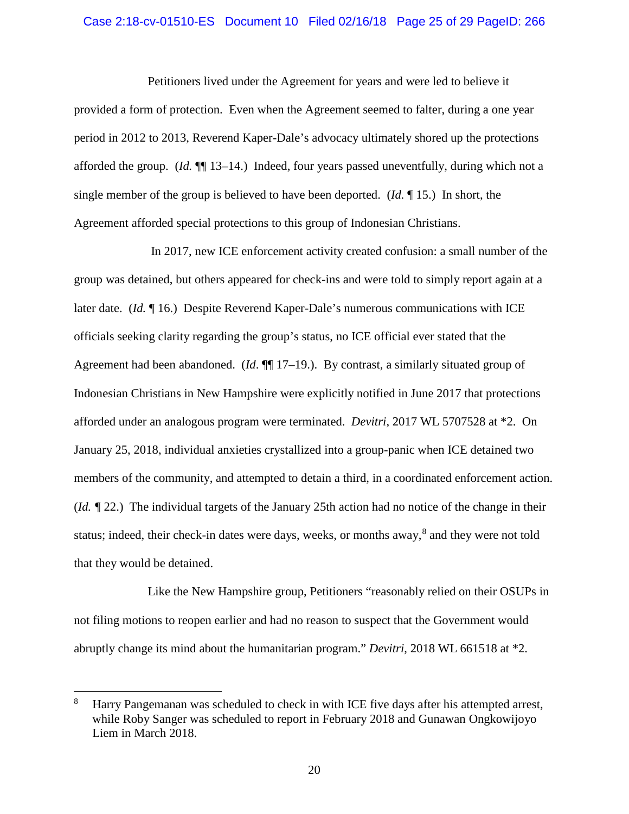#### Case 2:18-cv-01510-ES Document 10 Filed 02/16/18 Page 25 of 29 PageID: 266

Petitioners lived under the Agreement for years and were led to believe it provided a form of protection. Even when the Agreement seemed to falter, during a one year period in 2012 to 2013, Reverend Kaper-Dale's advocacy ultimately shored up the protections afforded the group. (*Id.* ¶¶ 13–14.) Indeed, four years passed uneventfully, during which not a single member of the group is believed to have been deported. (*Id.* ¶ 15.) In short, the Agreement afforded special protections to this group of Indonesian Christians.

In 2017, new ICE enforcement activity created confusion: a small number of the group was detained, but others appeared for check-ins and were told to simply report again at a later date. (*Id.* 16.) Despite Reverend Kaper-Dale's numerous communications with ICE officials seeking clarity regarding the group's status, no ICE official ever stated that the Agreement had been abandoned. (*Id*. ¶¶ 17–19.). By contrast, a similarly situated group of Indonesian Christians in New Hampshire were explicitly notified in June 2017 that protections afforded under an analogous program were terminated. *Devitri*, 2017 WL 5707528 at \*2. On January 25, 2018, individual anxieties crystallized into a group-panic when ICE detained two members of the community, and attempted to detain a third, in a coordinated enforcement action. (*Id. ¶* 22.) The individual targets of the January 25th action had no notice of the change in their status; indeed, their check-in dates were days, weeks, or months away,<sup>[8](#page-24-0)</sup> and they were not told that they would be detained.

Like the New Hampshire group, Petitioners "reasonably relied on their OSUPs in not filing motions to reopen earlier and had no reason to suspect that the Government would abruptly change its mind about the humanitarian program." *Devitri*, 2018 WL 661518 at \*2.

<span id="page-24-0"></span> <sup>8</sup> Harry Pangemanan was scheduled to check in with ICE five days after his attempted arrest, while Roby Sanger was scheduled to report in February 2018 and Gunawan Ongkowijoyo Liem in March 2018.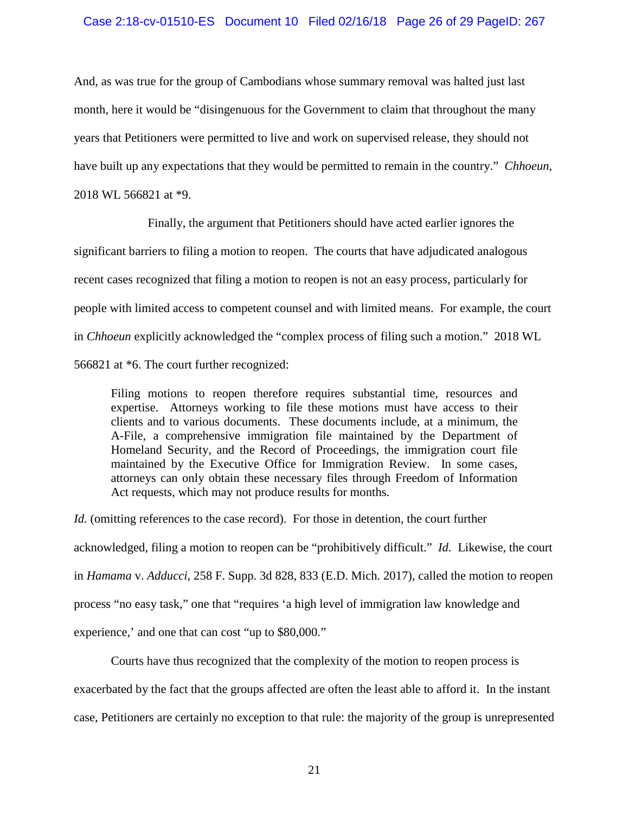# Case 2:18-cv-01510-ES Document 10 Filed 02/16/18 Page 26 of 29 PageID: 267

And, as was true for the group of Cambodians whose summary removal was halted just last month, here it would be "disingenuous for the Government to claim that throughout the many years that Petitioners were permitted to live and work on supervised release, they should not have built up any expectations that they would be permitted to remain in the country." *Chhoeun*, 2018 WL 566821 at \*9.

Finally, the argument that Petitioners should have acted earlier ignores the significant barriers to filing a motion to reopen. The courts that have adjudicated analogous recent cases recognized that filing a motion to reopen is not an easy process, particularly for people with limited access to competent counsel and with limited means. For example, the court in *Chhoeun* explicitly acknowledged the "complex process of filing such a motion." 2018 WL 566821 at \*6. The court further recognized:

Filing motions to reopen therefore requires substantial time, resources and expertise. Attorneys working to file these motions must have access to their clients and to various documents. These documents include, at a minimum, the A-File, a comprehensive immigration file maintained by the Department of Homeland Security, and the Record of Proceedings, the immigration court file maintained by the Executive Office for Immigration Review. In some cases, attorneys can only obtain these necessary files through Freedom of Information Act requests, which may not produce results for months.

*Id.* (omitting references to the case record). For those in detention, the court further acknowledged, filing a motion to reopen can be "prohibitively difficult." *Id.* Likewise, the court in *Hamama* v. *Adducci*, 258 F. Supp. 3d 828, 833 (E.D. Mich. 2017), called the motion to reopen process "no easy task," one that "requires 'a high level of immigration law knowledge and experience,' and one that can cost "up to \$80,000."

Courts have thus recognized that the complexity of the motion to reopen process is exacerbated by the fact that the groups affected are often the least able to afford it. In the instant case, Petitioners are certainly no exception to that rule: the majority of the group is unrepresented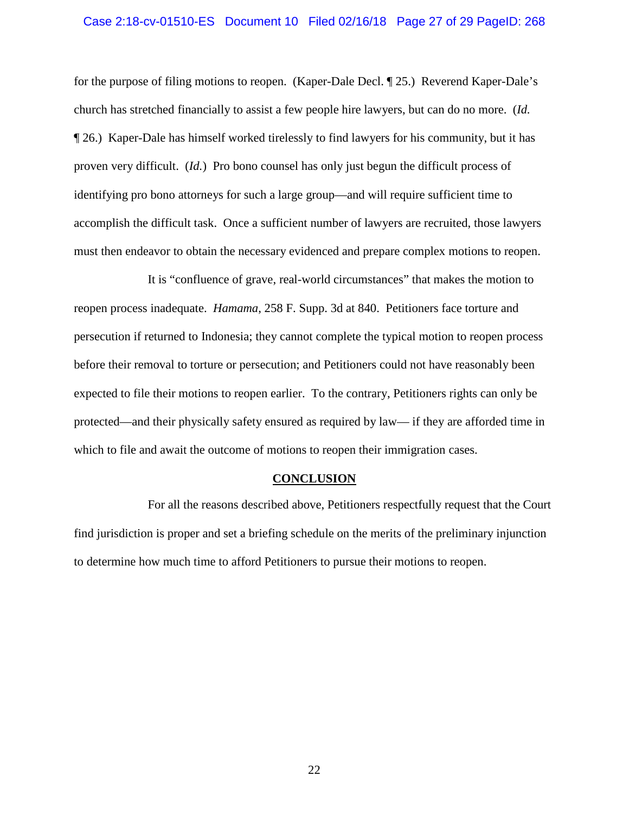#### Case 2:18-cv-01510-ES Document 10 Filed 02/16/18 Page 27 of 29 PageID: 268

for the purpose of filing motions to reopen. (Kaper-Dale Decl. ¶ 25.) Reverend Kaper-Dale's church has stretched financially to assist a few people hire lawyers, but can do no more. (*Id.* ¶ 26.)Kaper-Dale has himself worked tirelessly to find lawyers for his community, but it has proven very difficult. (*Id.*)Pro bono counsel has only just begun the difficult process of identifying pro bono attorneys for such a large group—and will require sufficient time to accomplish the difficult task. Once a sufficient number of lawyers are recruited, those lawyers must then endeavor to obtain the necessary evidenced and prepare complex motions to reopen.

It is "confluence of grave, real-world circumstances" that makes the motion to reopen process inadequate. *Hamama*, 258 F. Supp. 3d at 840. Petitioners face torture and persecution if returned to Indonesia; they cannot complete the typical motion to reopen process before their removal to torture or persecution; and Petitioners could not have reasonably been expected to file their motions to reopen earlier. To the contrary, Petitioners rights can only be protected—and their physically safety ensured as required by law— if they are afforded time in which to file and await the outcome of motions to reopen their immigration cases.

#### **CONCLUSION**

<span id="page-26-0"></span>For all the reasons described above, Petitioners respectfully request that the Court find jurisdiction is proper and set a briefing schedule on the merits of the preliminary injunction to determine how much time to afford Petitioners to pursue their motions to reopen.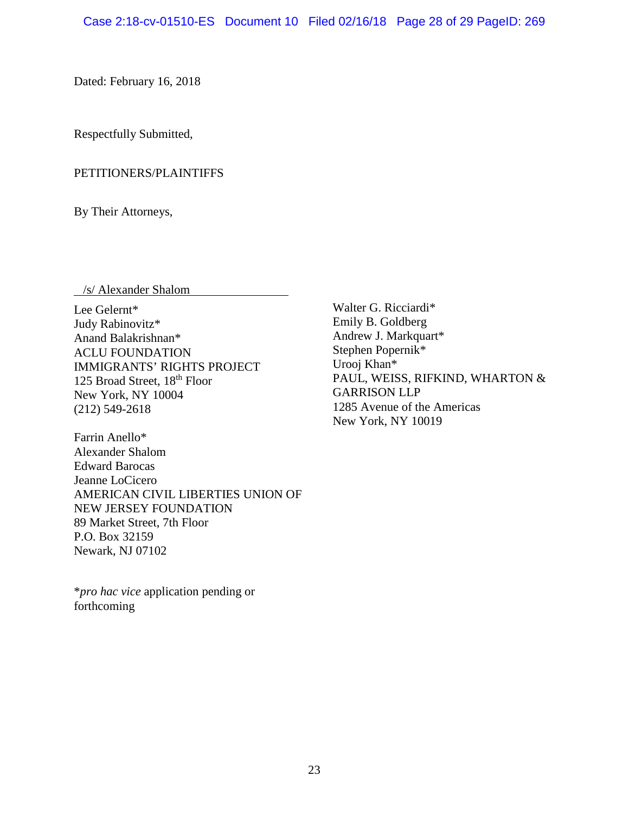Dated: February 16, 2018

Respectfully Submitted,

# PETITIONERS/PLAINTIFFS

By Their Attorneys,

/s/ Alexander Shalom

Lee Gelernt\* Judy Rabinovitz\* Anand Balakrishnan\* ACLU FOUNDATION IMMIGRANTS' RIGHTS PROJECT 125 Broad Street, 18th Floor New York, NY 10004 (212) 549-2618

Farrin Anello\* Alexander Shalom Edward Barocas Jeanne LoCicero AMERICAN CIVIL LIBERTIES UNION OF NEW JERSEY FOUNDATION 89 Market Street, 7th Floor P.O. Box 32159 Newark, NJ 07102

\**pro hac vice* application pending or forthcoming

Walter G. Ricciardi\* Emily B. Goldberg Andrew J. Markquart\* Stephen Popernik\* Urooj Khan\* PAUL, WEISS, RIFKIND, WHARTON & GARRISON LLP 1285 Avenue of the Americas New York, NY 10019